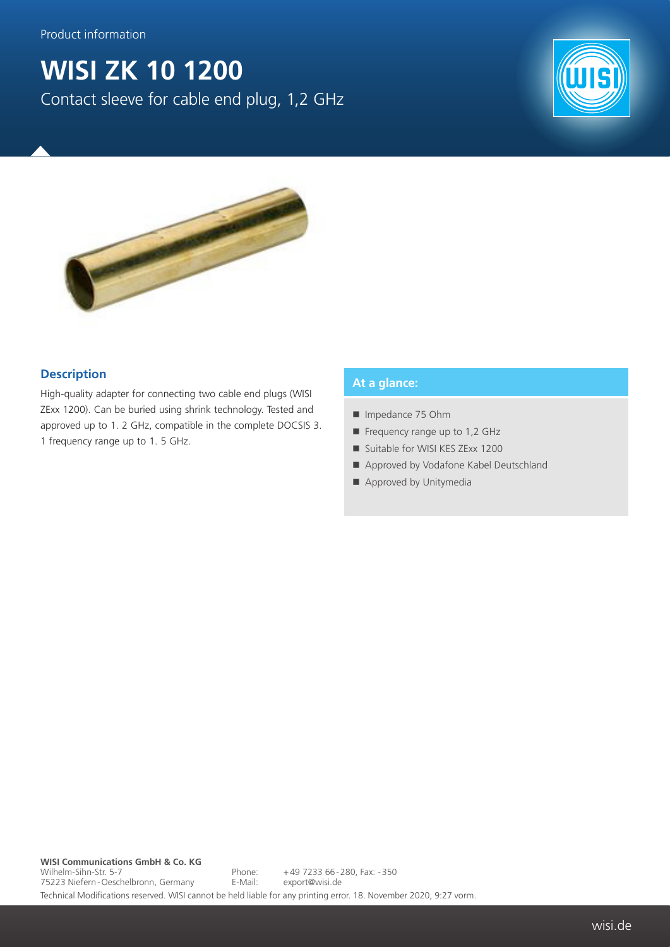# **WISI ZK 10 1200**

Contact sleeve for cable end plug, 1,2 GHz





### **Description**

High-quality adapter for connecting two cable end plugs (WISI ZExx 1200). Can be buried using shrink technology. Tested and approved up to 1. 2 GHz, compatible in the complete DOCSIS 3. 1 frequency range up to 1. 5 GHz.

#### **At a glance:**

- Impedance 75 Ohm
- Frequency range up to 1,2 GHz
- Suitable for WISI KES ZExx 1200
- Approved by Vodafone Kabel Deutschland
- Approved by Unitymedia